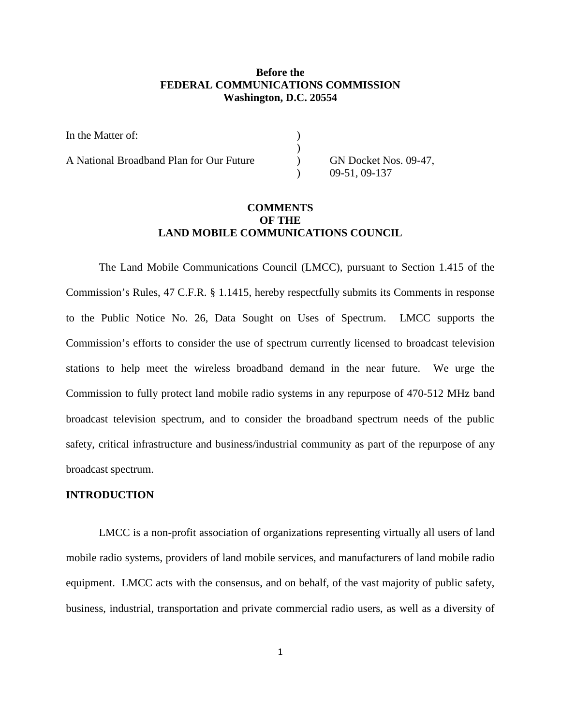# **Before the FEDERAL COMMUNICATIONS COMMISSION Washington, D.C. 20554**

| In the Matter of:                        |                       |
|------------------------------------------|-----------------------|
|                                          |                       |
| A National Broadband Plan for Our Future | GN Docket Nos. 09-47, |
|                                          | 09-51, 09-137         |

# **COMMENTS OF THE LAND MOBILE COMMUNICATIONS COUNCIL**

The Land Mobile Communications Council (LMCC), pursuant to Section 1.415 of the Commission's Rules, 47 C.F.R. § 1.1415, hereby respectfully submits its Comments in response to the Public Notice No. 26, Data Sought on Uses of Spectrum. LMCC supports the Commission's efforts to consider the use of spectrum currently licensed to broadcast television stations to help meet the wireless broadband demand in the near future. We urge the Commission to fully protect land mobile radio systems in any repurpose of 470-512 MHz band broadcast television spectrum, and to consider the broadband spectrum needs of the public safety, critical infrastructure and business/industrial community as part of the repurpose of any broadcast spectrum.

#### **INTRODUCTION**

LMCC is a non-profit association of organizations representing virtually all users of land mobile radio systems, providers of land mobile services, and manufacturers of land mobile radio equipment. LMCC acts with the consensus, and on behalf, of the vast majority of public safety, business, industrial, transportation and private commercial radio users, as well as a diversity of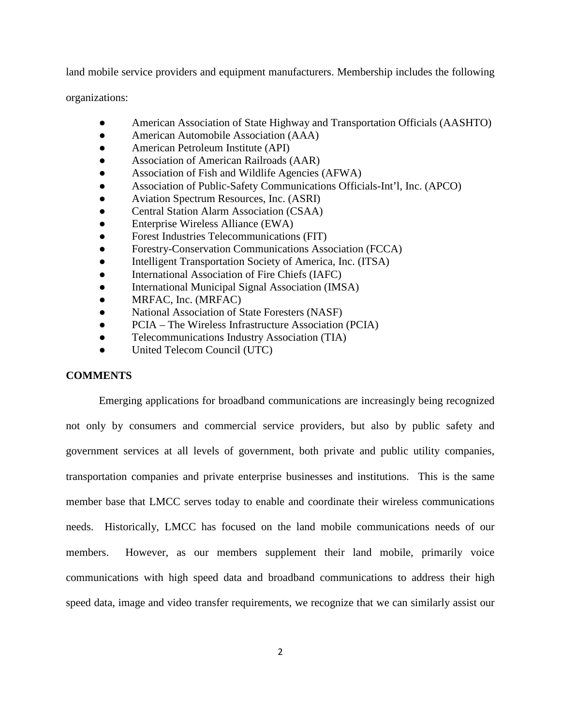land mobile service providers and equipment manufacturers. Membership includes the following

organizations:

- American Association of State Highway and Transportation Officials (AASHTO)
- American Automobile Association (AAA)
- American Petroleum Institute (API)
- Association of American Railroads (AAR)
- Association of Fish and Wildlife Agencies (AFWA)
- Association of Public-Safety Communications Officials-Int'l, Inc. (APCO)
- Aviation Spectrum Resources, Inc. (ASRI)
- Central Station Alarm Association (CSAA)
- Enterprise Wireless Alliance (EWA)
- Forest Industries Telecommunications (FIT)
- Forestry-Conservation Communications Association (FCCA)
- Intelligent Transportation Society of America, Inc. (ITSA)
- International Association of Fire Chiefs (IAFC)
- International Municipal Signal Association (IMSA)
- MRFAC, Inc. (MRFAC)
- National Association of State Foresters (NASF)
- PCIA The Wireless Infrastructure Association (PCIA)
- Telecommunications Industry Association (TIA)
- United Telecom Council (UTC)

## **COMMENTS**

Emerging applications for broadband communications are increasingly being recognized not only by consumers and commercial service providers, but also by public safety and government services at all levels of government, both private and public utility companies, transportation companies and private enterprise businesses and institutions. This is the same member base that LMCC serves today to enable and coordinate their wireless communications needs. Historically, LMCC has focused on the land mobile communications needs of our members. However, as our members supplement their land mobile, primarily voice communications with high speed data and broadband communications to address their high speed data, image and video transfer requirements, we recognize that we can similarly assist our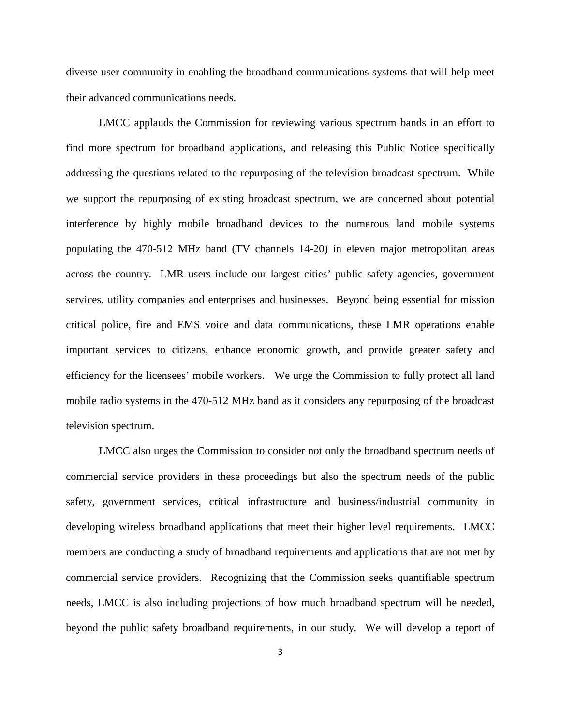diverse user community in enabling the broadband communications systems that will help meet their advanced communications needs.

LMCC applauds the Commission for reviewing various spectrum bands in an effort to find more spectrum for broadband applications, and releasing this Public Notice specifically addressing the questions related to the repurposing of the television broadcast spectrum. While we support the repurposing of existing broadcast spectrum, we are concerned about potential interference by highly mobile broadband devices to the numerous land mobile systems populating the 470-512 MHz band (TV channels 14-20) in eleven major metropolitan areas across the country. LMR users include our largest cities' public safety agencies, government services, utility companies and enterprises and businesses. Beyond being essential for mission critical police, fire and EMS voice and data communications, these LMR operations enable important services to citizens, enhance economic growth, and provide greater safety and efficiency for the licensees' mobile workers. We urge the Commission to fully protect all land mobile radio systems in the 470-512 MHz band as it considers any repurposing of the broadcast television spectrum.

LMCC also urges the Commission to consider not only the broadband spectrum needs of commercial service providers in these proceedings but also the spectrum needs of the public safety, government services, critical infrastructure and business/industrial community in developing wireless broadband applications that meet their higher level requirements. LMCC members are conducting a study of broadband requirements and applications that are not met by commercial service providers. Recognizing that the Commission seeks quantifiable spectrum needs, LMCC is also including projections of how much broadband spectrum will be needed, beyond the public safety broadband requirements, in our study. We will develop a report of